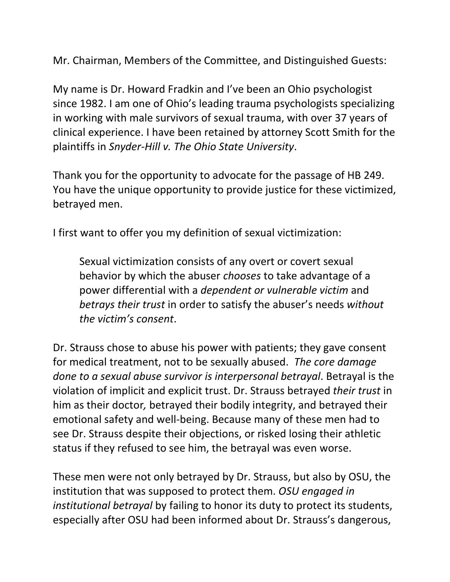Mr. Chairman, Members of the Committee, and Distinguished Guests:

My name is Dr. Howard Fradkin and I've been an Ohio psychologist since 1982. I am one of Ohio's leading trauma psychologists specializing in working with male survivors of sexual trauma, with over 37 years of clinical experience. I have been retained by attorney Scott Smith for the plaintiffs in *Snyder-Hill v. The Ohio State University*.

Thank you for the opportunity to advocate for the passage of HB 249. You have the unique opportunity to provide justice for these victimized, betrayed men.

I first want to offer you my definition of sexual victimization:

Sexual victimization consists of any overt or covert sexual behavior by which the abuser *chooses* to take advantage of a power differential with a *dependent or vulnerable victim* and *betrays their trust* in order to satisfy the abuser's needs *without the victim's consent*.

Dr. Strauss chose to abuse his power with patients; they gave consent for medical treatment, not to be sexually abused. *The core damage done to a sexual abuse survivor is interpersonal betrayal*. Betrayal is the violation of implicit and explicit trust. Dr. Strauss betrayed *their trust* in him as their doctor*,* betrayed their bodily integrity, and betrayed their emotional safety and well-being. Because many of these men had to see Dr. Strauss despite their objections, or risked losing their athletic status if they refused to see him, the betrayal was even worse.

These men were not only betrayed by Dr. Strauss, but also by OSU, the institution that was supposed to protect them. *OSU engaged in institutional betrayal* by failing to honor its duty to protect its students, especially after OSU had been informed about Dr. Strauss's dangerous,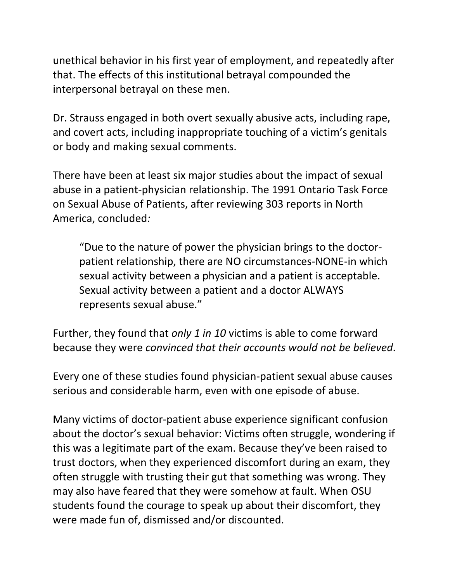unethical behavior in his first year of employment, and repeatedly after that. The effects of this institutional betrayal compounded the interpersonal betrayal on these men.

Dr. Strauss engaged in both overt sexually abusive acts, including rape, and covert acts, including inappropriate touching of a victim's genitals or body and making sexual comments.

There have been at least six major studies about the impact of sexual abuse in a patient-physician relationship. The 1991 Ontario Task Force on Sexual Abuse of Patients, after reviewing 303 reports in North America, concluded*:*

"Due to the nature of power the physician brings to the doctorpatient relationship, there are NO circumstances-NONE-in which sexual activity between a physician and a patient is acceptable. Sexual activity between a patient and a doctor ALWAYS represents sexual abuse."

Further, they found that *only 1 in 10* victims is able to come forward because they were *convinced that their accounts would not be believed*.

Every one of these studies found physician-patient sexual abuse causes serious and considerable harm, even with one episode of abuse.

Many victims of doctor-patient abuse experience significant confusion about the doctor's sexual behavior: Victims often struggle, wondering if this was a legitimate part of the exam. Because they've been raised to trust doctors, when they experienced discomfort during an exam, they often struggle with trusting their gut that something was wrong. They may also have feared that they were somehow at fault. When OSU students found the courage to speak up about their discomfort, they were made fun of, dismissed and/or discounted.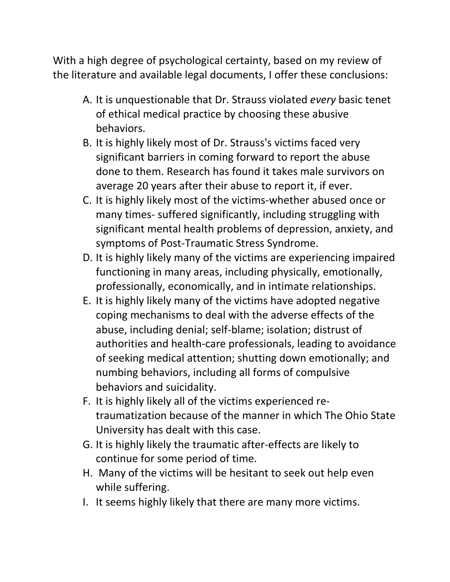With a high degree of psychological certainty, based on my review of the literature and available legal documents, I offer these conclusions:

- A. It is unquestionable that Dr. Strauss violated *every* basic tenet of ethical medical practice by choosing these abusive behaviors.
- B. It is highly likely most of Dr. Strauss's victims faced very significant barriers in coming forward to report the abuse done to them. Research has found it takes male survivors on average 20 years after their abuse to report it, if ever.
- C. It is highly likely most of the victims-whether abused once or many times- suffered significantly, including struggling with significant mental health problems of depression, anxiety, and symptoms of Post-Traumatic Stress Syndrome.
- D. It is highly likely many of the victims are experiencing impaired functioning in many areas, including physically, emotionally, professionally, economically, and in intimate relationships.
- E. It is highly likely many of the victims have adopted negative coping mechanisms to deal with the adverse effects of the abuse, including denial; self-blame; isolation; distrust of authorities and health-care professionals, leading to avoidance of seeking medical attention; shutting down emotionally; and numbing behaviors, including all forms of compulsive behaviors and suicidality.
- F. It is highly likely all of the victims experienced retraumatization because of the manner in which The Ohio State University has dealt with this case.
- G. It is highly likely the traumatic after-effects are likely to continue for some period of time.
- H. Many of the victims will be hesitant to seek out help even while suffering.
- I. It seems highly likely that there are many more victims.